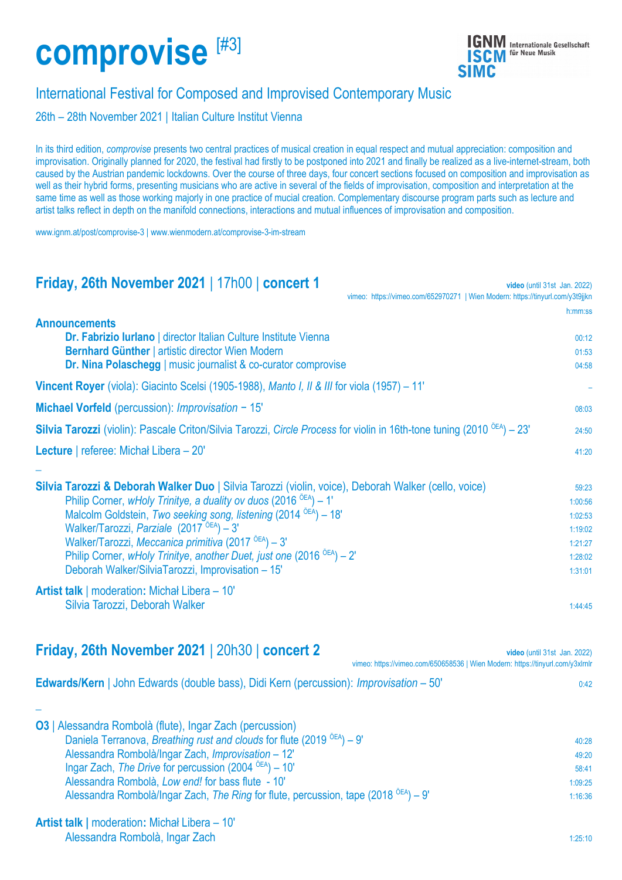# **[comprovise](https://www.ignm.at/post/comprovise-3)** [#3]



## International Festival for Composed and Improvised Contemporary Music

26th – 28th November 2021 | [Italian Culture Institut Vienna](https://iicvienna.esteri.it/iic_vienna/it)

In its third edition, *comprovise* presents two central practices of musical creation in equal respect and mutual appreciation: composition and improvisation. Originally planned for 2020, the festival had firstly to be postponed into 2021 and finally be realized as a live-internet-stream, both caused by the Austrian pandemic lockdowns. Over the course of three days, four concert sections focused on composition and improvisation as well as their hybrid forms, presenting musicians who are active in several of the fields of improvisation, composition and interpretation at the same time as well as those working majorly in one practice of mucial creation. Complementary discourse program parts such as lecture and artist talks reflect in depth on the manifold connections, interactions and mutual influences of improvisation and composition.

www.ignm.at/post/comprovise-3 | [www.wienmodern.at/comprovise-3-im-stream](http://www.wienmodern.at/comprovise-3-im-stream)

### **Friday, 26th November 2021** | 17h00 | **concert 1 video** (until 31st Jan. 2022) vimeo: https://vimeo.com/652970271 | Wien Modern: https://tinyurl.com/v3t9iikn

|                                                                                                                                                                                                                | h:mm:ss            |
|----------------------------------------------------------------------------------------------------------------------------------------------------------------------------------------------------------------|--------------------|
| <b>Announcements</b><br>Dr. Fabrizio Iurlano   director Italian Culture Institute Vienna<br>Bernhard Günther   artistic director Wien Modern<br>Dr. Nina Polaschegg   music journalist & co-curator comprovise | 00:12<br>01:53     |
| <b>Vincent Royer</b> (viola): Giacinto Scelsi (1905-1988), Manto I, II & III for viola (1957) – 11'                                                                                                            | 04:58              |
|                                                                                                                                                                                                                |                    |
| Michael Vorfeld (percussion): Improvisation - 15'                                                                                                                                                              | 08:03              |
| Silvia Tarozzi (violin): Pascale Criton/Silvia Tarozzi, Circle Process for violin in 16th-tone tuning (2010 <sup>OEA</sup> ) – 23'                                                                             | 24:50              |
| Lecture   referee: Michał Libera – 20'                                                                                                                                                                         | 41:20              |
| Silvia Tarozzi & Deborah Walker Duo   Silvia Tarozzi (violin, voice), Deborah Walker (cello, voice)                                                                                                            | 59:23              |
| Philip Corner, wHoly Trinitye, a duality ov duos (2016 <sup><math>\delta</math>EA</sup> ) - 1'                                                                                                                 | 1:00:56            |
| Malcolm Goldstein, Two seeking song, listening (2014 <sup><math>\delta</math>EA</sup> ) – 18'                                                                                                                  | 1:02:53            |
| Walker/Tarozzi, Parziale (2017 <sup>OEA</sup> ) - 3'<br>Walker/Tarozzi, Meccanica primitiva (2017 <sup>OEA</sup> ) - 3'                                                                                        | 1:19:02            |
| Philip Corner, wHoly Trinitye, another Duet, just one (2016 $\delta$ EA) – 2'                                                                                                                                  | 1:21:27<br>1:28:02 |
| Deborah Walker/SilviaTarozzi, Improvisation - 15'                                                                                                                                                              | 1:31:01            |
| <b>Artist talk</b>   moderation: Michał Libera – 10'                                                                                                                                                           |                    |
| Silvia Tarozzi, Deborah Walker                                                                                                                                                                                 | 1:44:45            |

| Friday, 26th November 2021   20h30   concert 2 |  | video (until 31st Jan. 2022)                                                   |
|------------------------------------------------|--|--------------------------------------------------------------------------------|
|                                                |  | vimeo: https://vimeo.com/650658536   Wien Modern: https://tinyurl.com/y3xlrnlr |

| <b>Edwards/Kern</b>   John Edwards (double bass), Didi Kern (percussion): <i>Improvisation</i> $-50'$ |  |
|-------------------------------------------------------------------------------------------------------|--|
|                                                                                                       |  |

| 03   Alessandra Rombolà (flute), Ingar Zach (percussion)                                    |         |
|---------------------------------------------------------------------------------------------|---------|
| Daniela Terranova, Breathing rust and clouds for flute (2019 $OEA$ ) – 9'                   | 40:28   |
| Alessandra Rombolà/Ingar Zach, Improvisation - 12'                                          | 49:20   |
| Ingar Zach, The Drive for percussion (2004 $\delta$ EA) – 10'                               | 58:41   |
| Alessandra Rombolà, Low end! for bass flute - 10'                                           | 1:09:25 |
| Alessandra Rombolà/Ingar Zach, The Ring for flute, percussion, tape (2018 $\delta$ EA) – 9' | 1:16:36 |
|                                                                                             |         |

**Artist talk |** moderation**:** [Michał Libera](http://patakaind.blogspot.com/) – 10' [Alessandra Rombolà,](https://www.alessandrarombola.com/) [Ingar Zach](http://ingarzach.com/) 1:25:10

**\_**